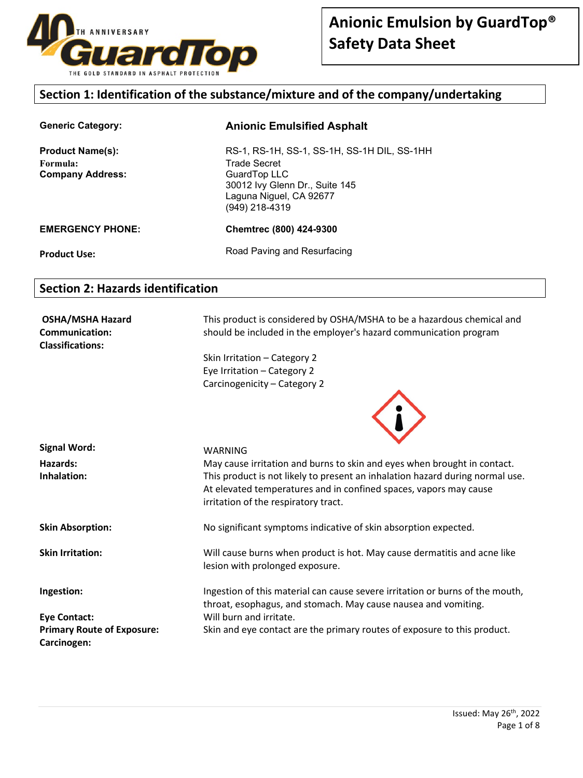

### **Section 1: Identification of the substance/mixture and of the company/undertaking**

| <b>Generic Category:</b>                                       | <b>Anionic Emulsified Asphalt</b>                                                                                                                                 |
|----------------------------------------------------------------|-------------------------------------------------------------------------------------------------------------------------------------------------------------------|
| <b>Product Name(s):</b><br>Formula:<br><b>Company Address:</b> | RS-1, RS-1H, SS-1, SS-1H, SS-1H DIL, SS-1HH<br><b>Trade Secret</b><br>GuardTop LLC<br>30012 Ivy Glenn Dr., Suite 145<br>Laguna Niguel, CA 92677<br>(949) 218-4319 |
| <b>EMERGENCY PHONE:</b>                                        | Chemtrec (800) 424-9300                                                                                                                                           |
| <b>Product Use:</b>                                            | Road Paving and Resurfacing                                                                                                                                       |

### **Section 2: Hazards identification**

**OSHA/MSHA Hazard Communication: Classifications:** 

This product is considered by OSHA/MSHA to be a hazardous chemical and should be included in the employer's hazard communication program

Skin Irritation – Category 2 Eye Irritation – Category 2 Carcinogenicity – Category 2



| <b>Signal Word:</b>                              | WARNING                                                                                                                                                                                    |
|--------------------------------------------------|--------------------------------------------------------------------------------------------------------------------------------------------------------------------------------------------|
| Hazards:                                         | May cause irritation and burns to skin and eyes when brought in contact.                                                                                                                   |
| Inhalation:                                      | This product is not likely to present an inhalation hazard during normal use.<br>At elevated temperatures and in confined spaces, vapors may cause<br>irritation of the respiratory tract. |
| <b>Skin Absorption:</b>                          | No significant symptoms indicative of skin absorption expected.                                                                                                                            |
| <b>Skin Irritation:</b>                          | Will cause burns when product is hot. May cause dermatitis and acne like<br>lesion with prolonged exposure.                                                                                |
| Ingestion:                                       | Ingestion of this material can cause severe irritation or burns of the mouth,<br>throat, esophagus, and stomach. May cause nausea and vomiting.                                            |
| Eye Contact:                                     | Will burn and irritate.                                                                                                                                                                    |
| <b>Primary Route of Exposure:</b><br>Carcinogen: | Skin and eye contact are the primary routes of exposure to this product.                                                                                                                   |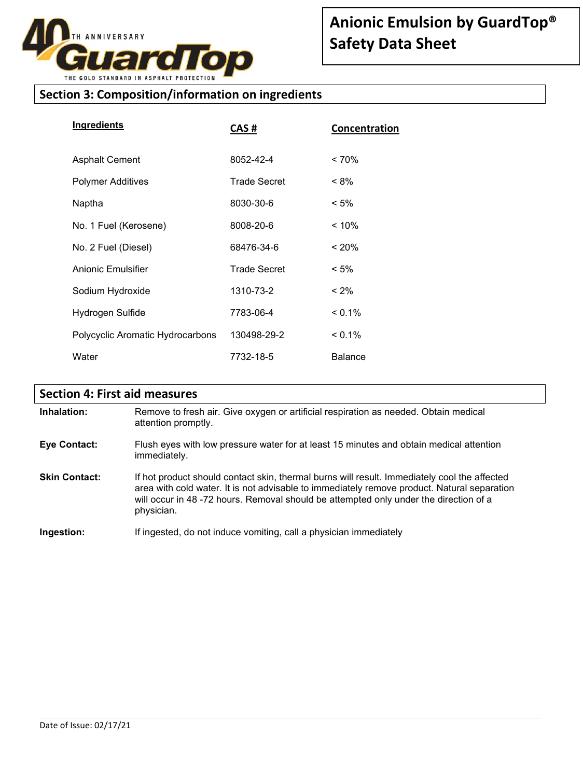

# **Section 3: Composition/information on ingredients**

| <b>Ingredients</b>               | CAS #               | Concentration  |
|----------------------------------|---------------------|----------------|
| <b>Asphalt Cement</b>            | 8052-42-4           | $< 70\%$       |
| Polymer Additives                | <b>Trade Secret</b> | $< 8\%$        |
| Naptha                           | 8030-30-6           | $< 5\%$        |
| No. 1 Fuel (Kerosene)            | 8008-20-6           | $< 10\%$       |
| No. 2 Fuel (Diesel)              | 68476-34-6          | $~120\%$       |
| Anionic Emulsifier               | <b>Trade Secret</b> | $< 5\%$        |
| Sodium Hydroxide                 | 1310-73-2           | $< 2\%$        |
| Hydrogen Sulfide                 | 7783-06-4           | $< 0.1\%$      |
| Polycyclic Aromatic Hydrocarbons | 130498-29-2         | $< 0.1\%$      |
| Water                            | 7732-18-5           | <b>Balance</b> |

# **Section 4: First aid measures**

| Inhalation:          | Remove to fresh air. Give oxygen or artificial respiration as needed. Obtain medical<br>attention promptly.                                                                                                                                                                                       |
|----------------------|---------------------------------------------------------------------------------------------------------------------------------------------------------------------------------------------------------------------------------------------------------------------------------------------------|
| <b>Eye Contact:</b>  | Flush eyes with low pressure water for at least 15 minutes and obtain medical attention<br>immediately.                                                                                                                                                                                           |
| <b>Skin Contact:</b> | If hot product should contact skin, thermal burns will result. Immediately cool the affected<br>area with cold water. It is not advisable to immediately remove product. Natural separation<br>will occur in 48-72 hours. Removal should be attempted only under the direction of a<br>physician. |
| Ingestion:           | If ingested, do not induce vomiting, call a physician immediately                                                                                                                                                                                                                                 |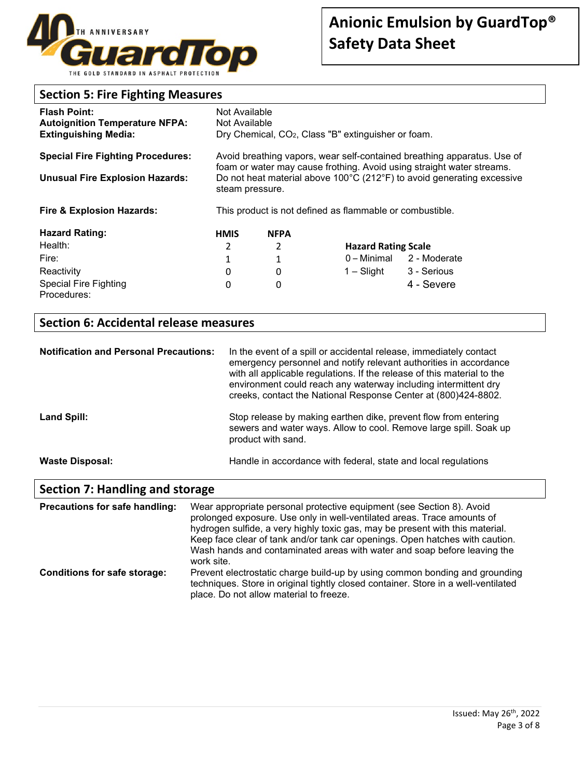

### **Section 5: Fire Fighting Measures**

| <b>Flash Point:</b><br><b>Autoignition Temperature NFPA:</b><br><b>Extinguishing Media:</b> | Not Available<br>Not Available                                                                                                                                     |             | Dry Chemical, CO <sub>2</sub> , Class "B" extinguisher or foam. |              |
|---------------------------------------------------------------------------------------------|--------------------------------------------------------------------------------------------------------------------------------------------------------------------|-------------|-----------------------------------------------------------------|--------------|
| <b>Special Fire Fighting Procedures:</b>                                                    | Avoid breathing vapors, wear self-contained breathing apparatus. Use of                                                                                            |             |                                                                 |              |
| <b>Unusual Fire Explosion Hazards:</b>                                                      | foam or water may cause frothing. Avoid using straight water streams.<br>Do not heat material above 100°C (212°F) to avoid generating excessive<br>steam pressure. |             |                                                                 |              |
| <b>Fire &amp; Explosion Hazards:</b>                                                        | This product is not defined as flammable or combustible.                                                                                                           |             |                                                                 |              |
| <b>Hazard Rating:</b>                                                                       | <b>HMIS</b>                                                                                                                                                        | <b>NFPA</b> |                                                                 |              |
| Health:                                                                                     | 2                                                                                                                                                                  | 2           | <b>Hazard Rating Scale</b>                                      |              |
| Fire:                                                                                       | 1                                                                                                                                                                  | 1           | 0 – Minimal                                                     | 2 - Moderate |
| Reactivity                                                                                  | 0                                                                                                                                                                  | 0           | 1 – Slight                                                      | 3 - Serious  |
| <b>Special Fire Fighting</b><br>Procedures:                                                 | 0                                                                                                                                                                  | 0           |                                                                 | 4 - Severe   |

# **Section 6: Accidental release measures**

| <b>Notification and Personal Precautions:</b> | In the event of a spill or accidental release, immediately contact<br>emergency personnel and notify relevant authorities in accordance<br>with all applicable regulations. If the release of this material to the<br>environment could reach any waterway including intermittent dry<br>creeks, contact the National Response Center at (800)424-8802. |
|-----------------------------------------------|---------------------------------------------------------------------------------------------------------------------------------------------------------------------------------------------------------------------------------------------------------------------------------------------------------------------------------------------------------|
| Land Spill:                                   | Stop release by making earthen dike, prevent flow from entering<br>sewers and water ways. Allow to cool. Remove large spill. Soak up<br>product with sand.                                                                                                                                                                                              |
| Waste Disposal:                               | Handle in accordance with federal, state and local regulations                                                                                                                                                                                                                                                                                          |

# **Section 7: Handling and storage**

| Precautions for safe handling: | Wear appropriate personal protective equipment (see Section 8). Avoid<br>prolonged exposure. Use only in well-ventilated areas. Trace amounts of<br>hydrogen sulfide, a very highly toxic gas, may be present with this material.<br>Keep face clear of tank and/or tank car openings. Open hatches with caution.<br>Wash hands and contaminated areas with water and soap before leaving the<br>work site. |
|--------------------------------|-------------------------------------------------------------------------------------------------------------------------------------------------------------------------------------------------------------------------------------------------------------------------------------------------------------------------------------------------------------------------------------------------------------|
| Conditions for safe storage:   | Prevent electrostatic charge build-up by using common bonding and grounding<br>techniques. Store in original tightly closed container. Store in a well-ventilated<br>place. Do not allow material to freeze.                                                                                                                                                                                                |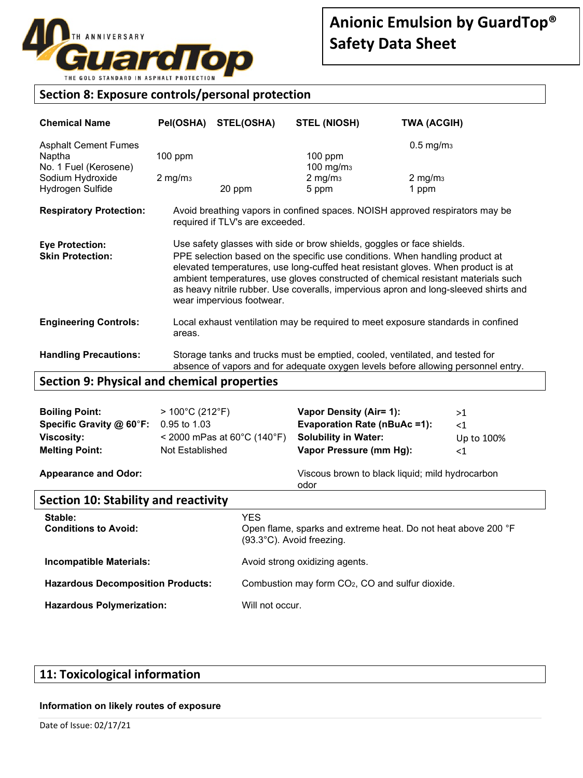

### **Section 8: Exposure controls/personal protection**

| <b>Chemical Name</b>                                                                                   | Pel(OSHA)                       | <b>STEL(OSHA)</b>                                                                                                                                                                                                                                                                                                                                                                                                                                    | <b>STEL (NIOSH)</b>                                                          | TWA (ACGIH)                                                                       |
|--------------------------------------------------------------------------------------------------------|---------------------------------|------------------------------------------------------------------------------------------------------------------------------------------------------------------------------------------------------------------------------------------------------------------------------------------------------------------------------------------------------------------------------------------------------------------------------------------------------|------------------------------------------------------------------------------|-----------------------------------------------------------------------------------|
| <b>Asphalt Cement Fumes</b><br>Naptha<br>No. 1 Fuel (Kerosene)<br>Sodium Hydroxide<br>Hydrogen Sulfide | $100$ ppm<br>$2 \text{ mg/m}_3$ | 20 ppm                                                                                                                                                                                                                                                                                                                                                                                                                                               | $100$ ppm<br>100 mg/m <sub>3</sub><br>$2 \text{ mg/m}_3$<br>5 ppm            | $0.5$ mg/m <sub>3</sub><br>$2$ mg/m $3$<br>1 ppm                                  |
| <b>Respiratory Protection:</b>                                                                         |                                 | required if TLV's are exceeded.                                                                                                                                                                                                                                                                                                                                                                                                                      |                                                                              | Avoid breathing vapors in confined spaces. NOISH approved respirators may be      |
| <b>Eye Protection:</b><br><b>Skin Protection:</b>                                                      |                                 | Use safety glasses with side or brow shields, goggles or face shields.<br>PPE selection based on the specific use conditions. When handling product at<br>elevated temperatures, use long-cuffed heat resistant gloves. When product is at<br>ambient temperatures, use gloves constructed of chemical resistant materials such<br>as heavy nitrile rubber. Use coveralls, impervious apron and long-sleeved shirts and<br>wear impervious footwear. |                                                                              |                                                                                   |
| <b>Engineering Controls:</b>                                                                           | areas.                          |                                                                                                                                                                                                                                                                                                                                                                                                                                                      |                                                                              | Local exhaust ventilation may be required to meet exposure standards in confined  |
| <b>Handling Precautions:</b>                                                                           |                                 |                                                                                                                                                                                                                                                                                                                                                                                                                                                      | Storage tanks and trucks must be emptied, cooled, ventilated, and tested for | absence of vapors and for adequate oxygen levels before allowing personnel entry. |

# **Section 9: Physical and chemical properties**

| Specific Gravity @ 60°F:    | 0.95 to 1.03                                        | <b>Evaporation Rate (nBuAc =1):</b>             | $\leq$ 1   |
|-----------------------------|-----------------------------------------------------|-------------------------------------------------|------------|
| <b>Viscosity:</b>           | $<$ 2000 mPas at 60 $^{\circ}$ C (140 $^{\circ}$ F) | <b>Solubility in Water:</b>                     | Up to 100% |
| <b>Melting Point:</b>       | Not Established                                     | Vapor Pressure (mm Hg):                         | <1         |
| <b>Appearance and Odor:</b> |                                                     | Viscous brown to black liquid; mild hydrocarbon |            |

odor

# **Section 10: Stability and reactivity**

| Stable:<br><b>Conditions to Avoid:</b>   | YES.<br>Open flame, sparks and extreme heat. Do not heat above 200 °F<br>(93.3°C). Avoid freezing. |
|------------------------------------------|----------------------------------------------------------------------------------------------------|
| <b>Incompatible Materials:</b>           | Avoid strong oxidizing agents.                                                                     |
| <b>Hazardous Decomposition Products:</b> | Combustion may form CO <sub>2</sub> , CO and sulfur dioxide.                                       |
| <b>Hazardous Polymerization:</b>         | Will not occur.                                                                                    |

# **11: Toxicological information**

#### **Information on likely routes of exposure**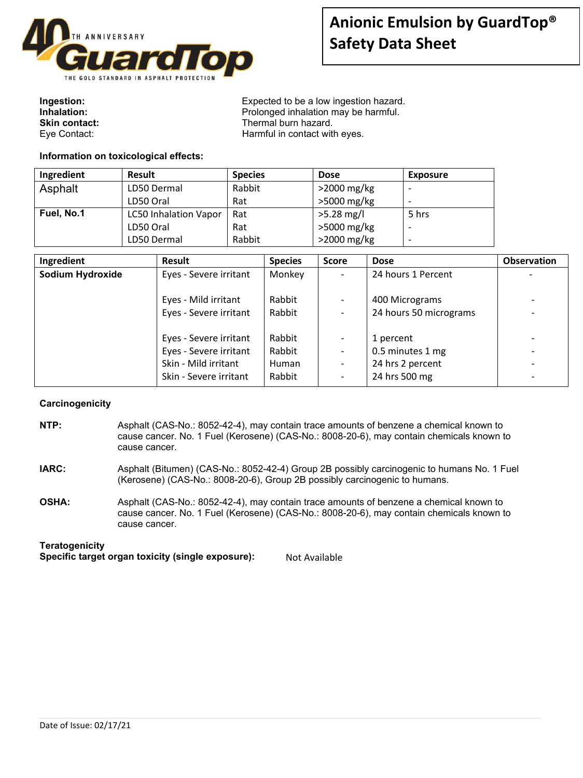

| Ingestion:    |  |
|---------------|--|
| Inhalation:   |  |
| Skin contact: |  |
| Eye Contact:  |  |

Expected to be a low ingestion hazard. **Inhalation:** Prolonged inhalation may be harmful. **Skin contact:** Thermal burn hazard. Harmful in contact with eyes.

#### **Information on toxicological effects:**

| Ingredient | <b>Result</b>                | <b>Species</b> | <b>Dose</b>    | <b>Exposure</b>          |
|------------|------------------------------|----------------|----------------|--------------------------|
| Asphalt    | LD50 Dermal                  | Rabbit         | >2000 mg/kg    |                          |
|            | LD50 Oral                    | Rat            | >5000 mg/kg    | $\overline{\phantom{0}}$ |
| Fuel, No.1 | <b>LC50 Inhalation Vapor</b> | Rat            | $>5.28$ mg/l   | 5 hrs                    |
|            | LD50 Oral                    | Rat            | >5000 mg/kg    | $\overline{\phantom{0}}$ |
|            | LD50 Dermal                  | Rabbit         | $>$ 2000 mg/kg | $\overline{\phantom{0}}$ |

| Ingredient<br><b>Result</b> | <b>Species</b>                   | <b>Score</b> | <b>Dose</b>            | Observation |
|-----------------------------|----------------------------------|--------------|------------------------|-------------|
| <b>Sodium Hydroxide</b>     | Monkey<br>Eyes - Severe irritant |              | 24 hours 1 Percent     |             |
|                             |                                  |              |                        |             |
| Eyes - Mild irritant        | Rabbit                           |              | 400 Micrograms         |             |
|                             | Eyes - Severe irritant<br>Rabbit |              | 24 hours 50 micrograms |             |
|                             |                                  |              |                        |             |
|                             | Rabbit<br>Eyes - Severe irritant |              | 1 percent              |             |
|                             | Rabbit<br>Eyes - Severe irritant |              | 0.5 minutes 1 mg       |             |
| Skin - Mild irritant        | Human                            |              | 24 hrs 2 percent       |             |
|                             | Rabbit<br>Skin - Severe irritant |              | 24 hrs 500 mg          |             |

#### **Carcinogenicity**

- **NTP:** Asphalt (CAS-No.: 8052-42-4), may contain trace amounts of benzene a chemical known to cause cancer. No. 1 Fuel (Kerosene) (CAS-No.: 8008-20-6), may contain chemicals known to cause cancer.
- **IARC:** Asphalt (Bitumen) (CAS-No.: 8052-42-4) Group 2B possibly carcinogenic to humans No. 1 Fuel (Kerosene) (CAS-No.: 8008-20-6), Group 2B possibly carcinogenic to humans.
- **OSHA:** Asphalt (CAS-No.: 8052-42-4), may contain trace amounts of benzene a chemical known to cause cancer. No. 1 Fuel (Kerosene) (CAS-No.: 8008-20-6), may contain chemicals known to cause cancer.

#### **Teratogenicity**

| Specific target organ toxicity (single exposure): | Not Available |
|---------------------------------------------------|---------------|
|---------------------------------------------------|---------------|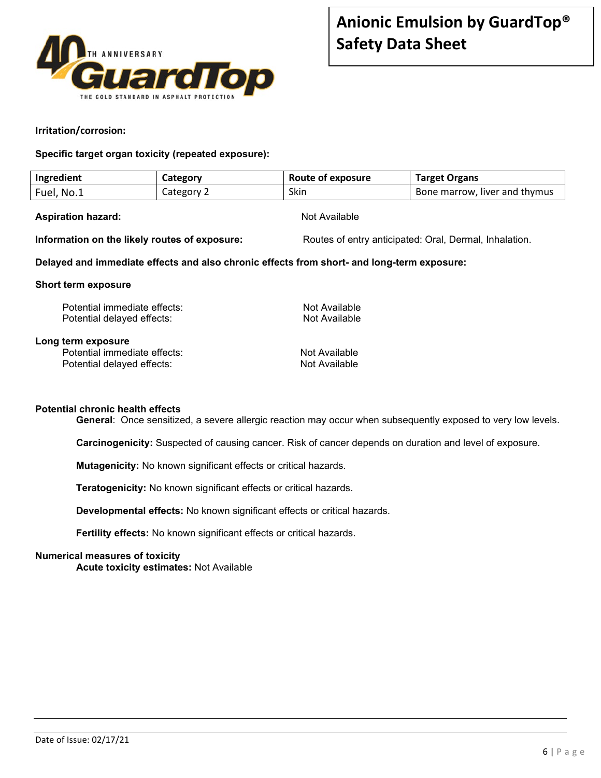

#### **Irritation/corrosion:**

**Specific target organ toxicity (repeated exposure):** 

| Ingredient | Category   | Route of exposure | <b>Target Organs</b>          |
|------------|------------|-------------------|-------------------------------|
| Fuel, No.1 | Category 2 | Skin              | Bone marrow, liver and thymus |

#### Aspiration hazard: **Aspiration hazard:** Not Available

**Information on the likely routes of exposure:** Routes of entry anticipated: Oral, Dermal, Inhalation.

#### **Delayed and immediate effects and also chronic effects from short- and long-term exposure:**

#### **Short term exposure**

| Potential immediate effects:                                                     | Not Available                  |
|----------------------------------------------------------------------------------|--------------------------------|
| Potential delayed effects:                                                       | Not Available                  |
| Long term exposure<br>Potential immediate effects:<br>Potential delayed effects: | Not Available<br>Not Available |

#### **Potential chronic health effects**

**General**: Once sensitized, a severe allergic reaction may occur when subsequently exposed to very low levels.

**Carcinogenicity:** Suspected of causing cancer. Risk of cancer depends on duration and level of exposure.

**Mutagenicity:** No known significant effects or critical hazards.

**Teratogenicity:** No known significant effects or critical hazards.

**Developmental effects:** No known significant effects or critical hazards.

**Fertility effects:** No known significant effects or critical hazards.

#### **Numerical measures of toxicity**

**Acute toxicity estimates:** Not Available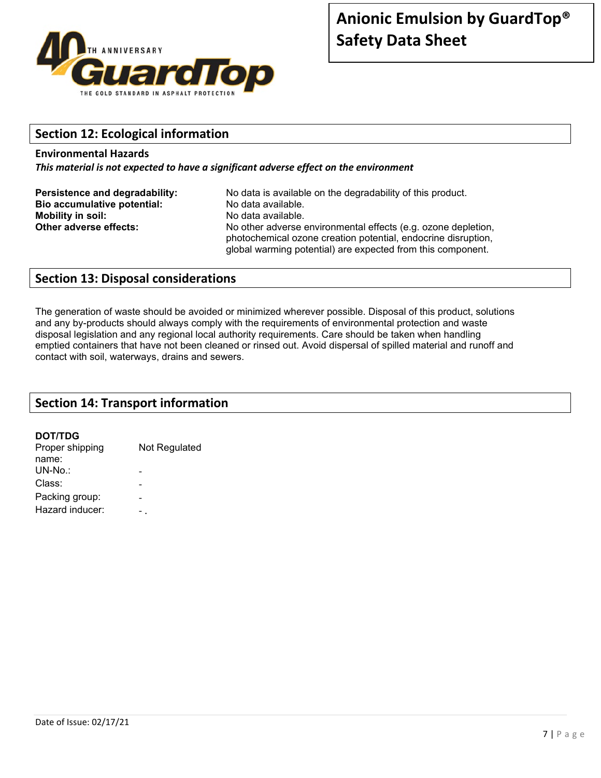

# **Section 12: Ecological information**

#### **Environmental Hazards**

*This material is not expected to have a significant adverse effect on the environment*

| Persistence and degradability: | No data is available on the degradability of this product.                                                                     |
|--------------------------------|--------------------------------------------------------------------------------------------------------------------------------|
| Bio accumulative potential:    | No data available.                                                                                                             |
| <b>Mobility in soil:</b>       | No data available.                                                                                                             |
| Other adverse effects:         | No other adverse environmental effects (e.g. ozone depletion,<br>photochemical ozone creation potential, endocrine disruption, |
|                                | global warming potential) are expected from this component.                                                                    |

### **Section 13: Disposal considerations**

The generation of waste should be avoided or minimized wherever possible. Disposal of this product, solutions and any by-products should always comply with the requirements of environmental protection and waste disposal legislation and any regional local authority requirements. Care should be taken when handling emptied containers that have not been cleaned or rinsed out. Avoid dispersal of spilled material and runoff and contact with soil, waterways, drains and sewers.

### **Section 14: Transport information**

#### **DOT/TDG**

| Proper shipping | Not Regulated |
|-----------------|---------------|
| name:           |               |
| $UN-No.$        |               |
| Class:          |               |
| Packing group:  |               |
| Hazard inducer: |               |
|                 |               |